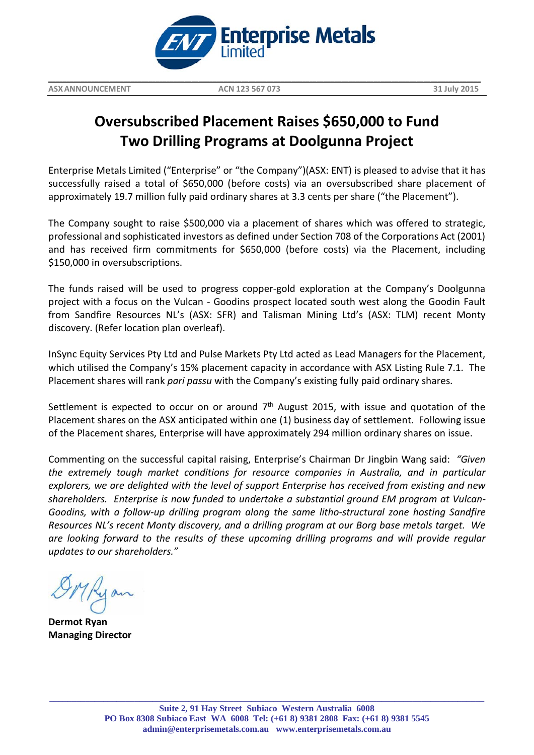

**\_\_\_\_\_\_\_\_\_\_\_\_\_\_\_\_\_\_\_\_\_\_\_\_\_\_\_\_\_\_\_\_\_\_\_\_\_\_\_\_\_\_\_\_\_\_\_\_\_\_\_\_\_\_\_\_\_\_\_\_\_\_\_\_\_\_\_\_\_\_\_\_\_\_\_\_\_\_\_\_\_\_\_\_\_\_\_\_\_\_\_\_\_\_\_\_\_\_\_\_\_\_\_\_\_\_\_\_\_\_\_\_\_\_\_\_\_\_\_\_\_**

## **Oversubscribed Placement Raises \$650,000 to Fund Two Drilling Programs at Doolgunna Project**

Enterprise Metals Limited ("Enterprise" or "the Company")(ASX: ENT) is pleased to advise that it has successfully raised a total of \$650,000 (before costs) via an oversubscribed share placement of approximately 19.7 million fully paid ordinary shares at 3.3 cents per share ("the Placement").

The Company sought to raise \$500,000 via a placement of shares which was offered to strategic, professional and sophisticated investors as defined under Section 708 of the Corporations Act (2001) and has received firm commitments for \$650,000 (before costs) via the Placement, including \$150,000 in oversubscriptions.

The funds raised will be used to progress copper-gold exploration at the Company's Doolgunna project with a focus on the Vulcan - Goodins prospect located south west along the Goodin Fault from Sandfire Resources NL's (ASX: SFR) and Talisman Mining Ltd's (ASX: TLM) recent Monty discovery. (Refer location plan overleaf).

InSync Equity Services Pty Ltd and Pulse Markets Pty Ltd acted as Lead Managers for the Placement, which utilised the Company's 15% placement capacity in accordance with ASX Listing Rule 7.1. The Placement shares will rank *pari passu* with the Company's existing fully paid ordinary shares.

Settlement is expected to occur on or around  $7<sup>th</sup>$  August 2015, with issue and quotation of the Placement shares on the ASX anticipated within one (1) business day of settlement. Following issue of the Placement shares, Enterprise will have approximately 294 million ordinary shares on issue.

Commenting on the successful capital raising, Enterprise's Chairman Dr Jingbin Wang said: *"Given the extremely tough market conditions for resource companies in Australia, and in particular explorers, we are delighted with the level of support Enterprise has received from existing and new shareholders. Enterprise is now funded to undertake a substantial ground EM program at Vulcan-Goodins, with a follow-up drilling program along the same litho-structural zone hosting Sandfire Resources NL's recent Monty discovery, and a drilling program at our Borg base metals target. We are looking forward to the results of these upcoming drilling programs and will provide regular updates to our shareholders."*

**Dermot Ryan Managing Director**